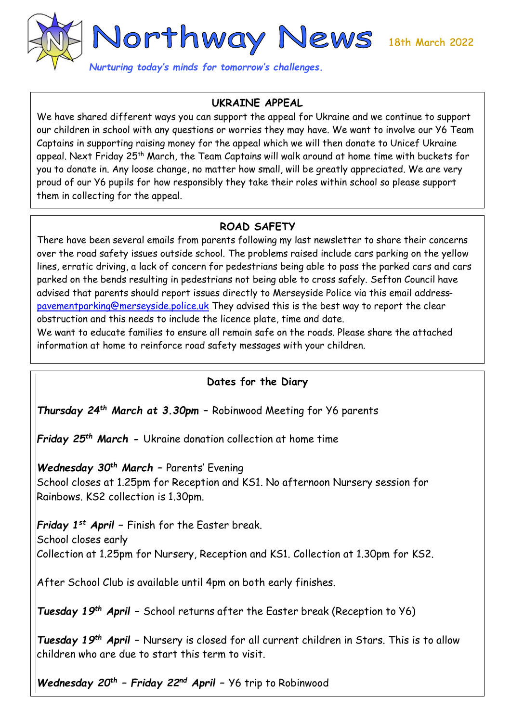

## **UKRAINE APPEAL**

We have shared different ways you can support the appeal for Ukraine and we continue to support our children in school with any questions or worries they may have. We want to involve our Y6 Team Captains in supporting raising money for the appeal which we will then donate to Unicef Ukraine appeal. Next Friday 25<sup>th</sup> March, the Team Captains will walk around at home time with buckets for you to donate in. Any loose change, no matter how small, will be greatly appreciated. We are very proud of our Y6 pupils for how responsibly they take their roles within school so please support them in collecting for the appeal.

## **ROAD SAFETY**

There have been several emails from parents following my last newsletter to share their concerns over the road safety issues outside school. The problems raised include cars parking on the yellow lines, erratic driving, a lack of concern for pedestrians being able to pass the parked cars and cars parked on the bends resulting in pedestrians not being able to cross safely. Sefton Council have advised that parents should report issues directly to Merseyside Police via this email address[pavementparking@merseyside.police.uk](mailto:pavementparking@merseyside.police.uk) They advised this is the best way to report the clear obstruction and this needs to include the licence plate, time and date.

We want to educate families to ensure all remain safe on the roads. Please share the attached information at home to reinforce road safety messages with your children.

## **Dates for the Diary**

*Thursday 24th March at 3.30pm –* Robinwood Meeting for Y6 parents

*Friday 25th March -* Ukraine donation collection at home time

*Wednesday 30th March –* Parents' Evening

School closes at 1.25pm for Reception and KS1. No afternoon Nursery session for Rainbows. KS2 collection is 1.30pm.

*Friday 1st April –* Finish for the Easter break. School closes early Collection at 1.25pm for Nursery, Reception and KS1. Collection at 1.30pm for KS2.

After School Club is available until 4pm on both early finishes.

*Tuesday 19th April –* School returns after the Easter break (Reception to Y6)

*Tuesday 19th April –* Nursery is closed for all current children in Stars. This is to allow children who are due to start this term to visit.

*Wednesday 20th – Friday 22nd April –* Y6 trip to Robinwood